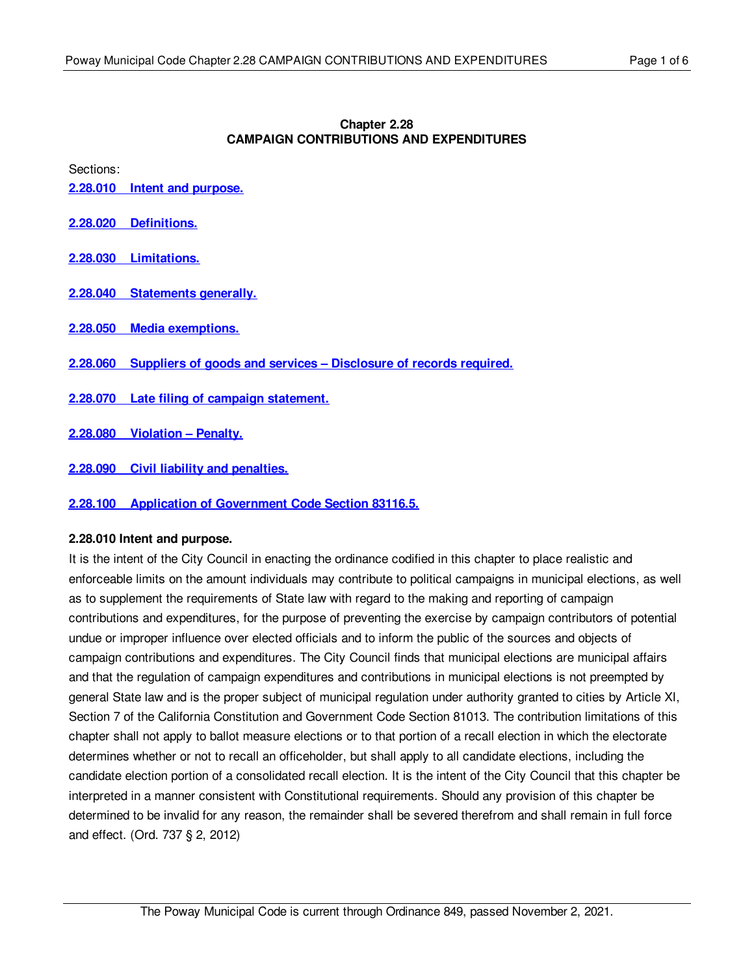### **Chapter 2.28 CAMPAIGN CONTRIBUTIONS AND EXPENDITURES**

Sections:

- **2.28.010 Intent and [purpose.](#page-0-0)**
- **2.28.020 [Definitions.](#page-1-0)**
- **2.28.030 [Limitations.](#page-1-1)**
- **2.28.040 [Statements](#page-3-0) generally.**
- **2.28.050 Media [exemptions.](#page-3-1)**
- **2.28.060 Suppliers of goods and services – [Disclosure](#page-4-0) of records required.**
- **2.28.070 Late filing of campaign [statement.](#page-4-1)**
- **2.28.080 [Violation](#page-4-2) – Penalty.**
- **2.28.090 Civil liability and [penalties.](#page-4-3)**
- **2.28.100 Application of [Government](#page-5-0) Code Section 83116.5.**

# <span id="page-0-0"></span>**2.28.010 Intent and purpose.**

It is the intent of the City Council in enacting the ordinance codified in this chapter to place realistic and enforceable limits on the amount individuals may contribute to political campaigns in municipal elections, as well as to supplement the requirements of State law with regard to the making and reporting of campaign contributions and expenditures, for the purpose of preventing the exercise by campaign contributors of potential undue or improper influence over elected officials and to inform the public of the sources and objects of campaign contributions and expenditures. The City Council finds that municipal elections are municipal affairs and that the regulation of campaign expenditures and contributions in municipal elections is not preempted by general State law and is the proper subject of municipal regulation under authority granted to cities by Article XI, Section 7 of the California Constitution and Government Code Section 81013. The contribution limitations of this chapter shall not apply to ballot measure elections or to that portion of a recall election in which the electorate determines whether or not to recall an officeholder, but shall apply to all candidate elections, including the candidate election portion of a consolidated recall election. It is the intent of the City Council that this chapter be interpreted in a manner consistent with Constitutional requirements. Should any provision of this chapter be determined to be invalid for any reason, the remainder shall be severed therefrom and shall remain in full force and effect. (Ord. 737 § 2, 2012)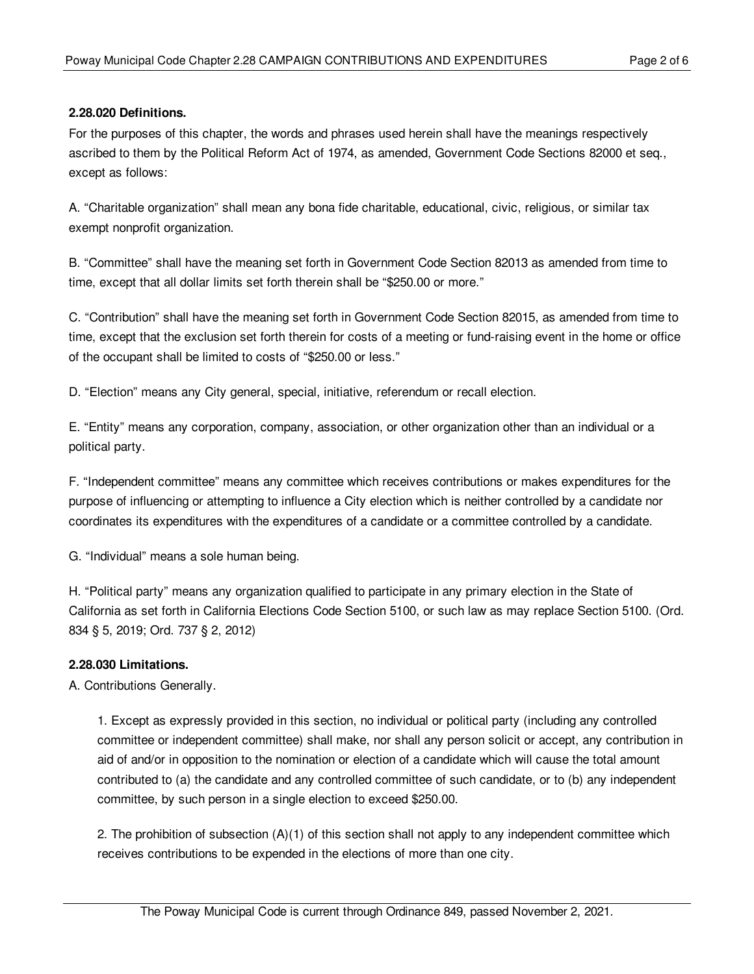# <span id="page-1-0"></span>**2.28.020 Definitions.**

For the purposes of this chapter, the words and phrases used herein shall have the meanings respectively ascribed to them by the Political Reform Act of 1974, as amended, Government Code Sections 82000 et seq., except as follows:

A. "Charitable organization" shall mean any bona fide charitable, educational, civic, religious, or similar tax exempt nonprofit organization.

B. "Committee" shall have the meaning set forth in Government Code Section 82013 as amended from time to time, except that all dollar limits set forth therein shall be "\$250.00 or more."

C. "Contribution" shall have the meaning set forth in Government Code Section 82015, as amended from time to time, except that the exclusion set forth therein for costs of a meeting or fund-raising event in the home or office of the occupant shall be limited to costs of "\$250.00 or less."

D. "Election" means any City general, special, initiative, referendum or recall election.

E. "Entity" means any corporation, company, association, or other organization other than an individual or a political party.

F. "Independent committee" means any committee which receives contributions or makes expenditures for the purpose of influencing or attempting to influence a City election which is neither controlled by a candidate nor coordinates its expenditures with the expenditures of a candidate or a committee controlled by a candidate.

G. "Individual" means a sole human being.

H. "Political party" means any organization qualified to participate in any primary election in the State of California as set forth in California Elections Code Section 5100, or such law as may replace Section 5100. (Ord. 834 § 5, 2019; Ord. 737 § 2, 2012)

# <span id="page-1-1"></span>**2.28.030 Limitations.**

A. Contributions Generally.

1. Except as expressly provided in this section, no individual or political party (including any controlled committee or independent committee) shall make, nor shall any person solicit or accept, any contribution in aid of and/or in opposition to the nomination or election of a candidate which will cause the total amount contributed to (a) the candidate and any controlled committee of such candidate, or to (b) any independent committee, by such person in a single election to exceed \$250.00.

2. The prohibition of subsection (A)(1) of this section shall not apply to any independent committee which receives contributions to be expended in the elections of more than one city.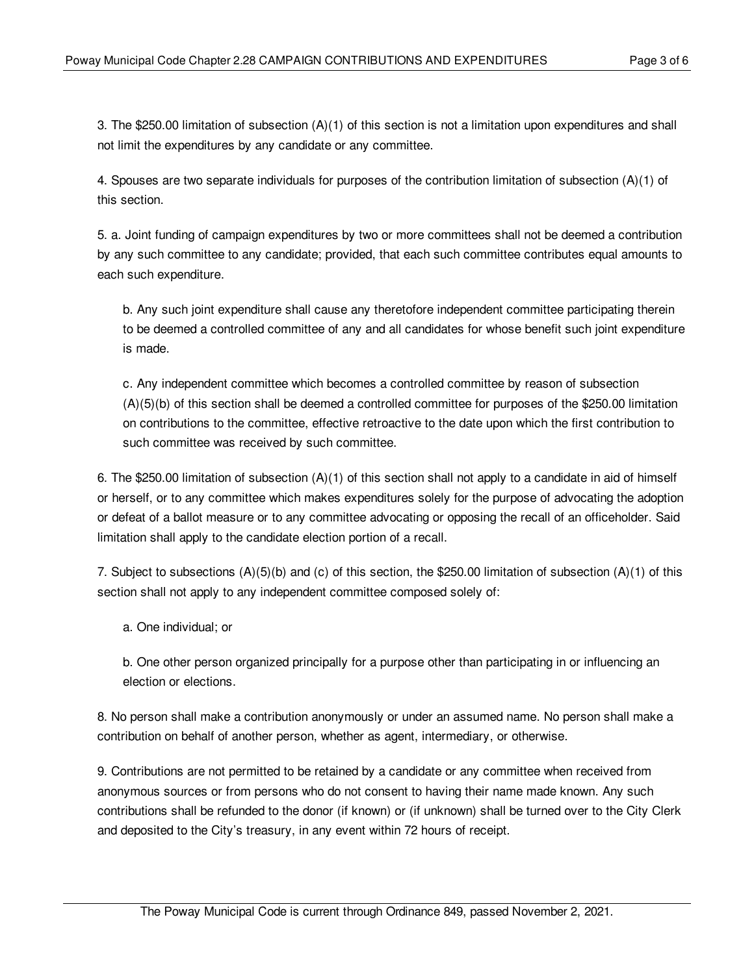3. The \$250.00 limitation of subsection (A)(1) of this section is not a limitation upon expenditures and shall not limit the expenditures by any candidate or any committee.

4. Spouses are two separate individuals for purposes of the contribution limitation of subsection (A)(1) of this section.

5. a. Joint funding of campaign expenditures by two or more committees shall not be deemed a contribution by any such committee to any candidate; provided, that each such committee contributes equal amounts to each such expenditure.

b. Any such joint expenditure shall cause any theretofore independent committee participating therein to be deemed a controlled committee of any and all candidates for whose benefit such joint expenditure is made.

c. Any independent committee which becomes a controlled committee by reason of subsection (A)(5)(b) of this section shall be deemed a controlled committee for purposes of the \$250.00 limitation on contributions to the committee, effective retroactive to the date upon which the first contribution to such committee was received by such committee.

6. The \$250.00 limitation of subsection (A)(1) of this section shall not apply to a candidate in aid of himself or herself, or to any committee which makes expenditures solely for the purpose of advocating the adoption or defeat of a ballot measure or to any committee advocating or opposing the recall of an officeholder. Said limitation shall apply to the candidate election portion of a recall.

7. Subject to subsections  $(A)(5)(b)$  and (c) of this section, the \$250.00 limitation of subsection  $(A)(1)$  of this section shall not apply to any independent committee composed solely of:

a. One individual; or

b. One other person organized principally for a purpose other than participating in or influencing an election or elections.

8. No person shall make a contribution anonymously or under an assumed name. No person shall make a contribution on behalf of another person, whether as agent, intermediary, or otherwise.

9. Contributions are not permitted to be retained by a candidate or any committee when received from anonymous sources or from persons who do not consent to having their name made known. Any such contributions shall be refunded to the donor (if known) or (if unknown) shall be turned over to the City Clerk and deposited to the City's treasury, in any event within 72 hours of receipt.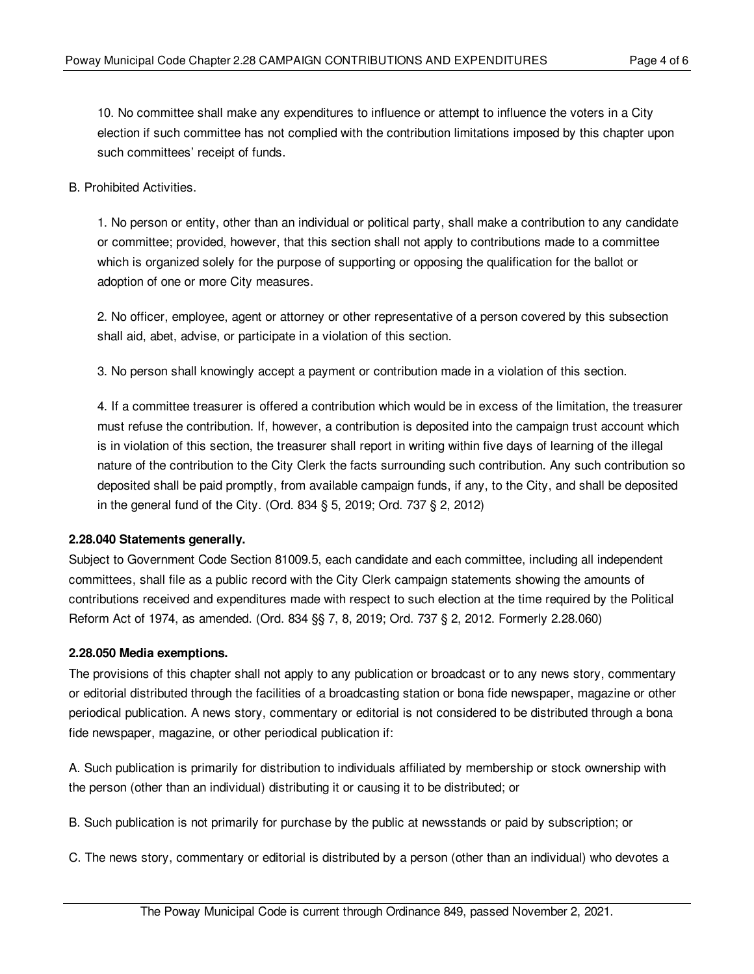10. No committee shall make any expenditures to influence or attempt to influence the voters in a City election if such committee has not complied with the contribution limitations imposed by this chapter upon such committees' receipt of funds.

#### B. Prohibited Activities.

1. No person or entity, other than an individual or political party, shall make a contribution to any candidate or committee; provided, however, that this section shall not apply to contributions made to a committee which is organized solely for the purpose of supporting or opposing the qualification for the ballot or adoption of one or more City measures.

2. No officer, employee, agent or attorney or other representative of a person covered by this subsection shall aid, abet, advise, or participate in a violation of this section.

3. No person shall knowingly accept a payment or contribution made in a violation of this section.

4. If a committee treasurer is offered a contribution which would be in excess of the limitation, the treasurer must refuse the contribution. If, however, a contribution is deposited into the campaign trust account which is in violation of this section, the treasurer shall report in writing within five days of learning of the illegal nature of the contribution to the City Clerk the facts surrounding such contribution. Any such contribution so deposited shall be paid promptly, from available campaign funds, if any, to the City, and shall be deposited in the general fund of the City. (Ord. 834 § 5, 2019; Ord. 737 § 2, 2012)

#### <span id="page-3-0"></span>**2.28.040 Statements generally.**

Subject to Government Code Section 81009.5, each candidate and each committee, including all independent committees, shall file as a public record with the City Clerk campaign statements showing the amounts of contributions received and expenditures made with respect to such election at the time required by the Political Reform Act of 1974, as amended. (Ord. 834 §§ 7, 8, 2019; Ord. 737 § 2, 2012. Formerly 2.28.060)

#### <span id="page-3-1"></span>**2.28.050 Media exemptions.**

The provisions of this chapter shall not apply to any publication or broadcast or to any news story, commentary or editorial distributed through the facilities of a broadcasting station or bona fide newspaper, magazine or other periodical publication. A news story, commentary or editorial is not considered to be distributed through a bona fide newspaper, magazine, or other periodical publication if:

A. Such publication is primarily for distribution to individuals affiliated by membership or stock ownership with the person (other than an individual) distributing it or causing it to be distributed; or

B. Such publication is not primarily for purchase by the public at newsstands or paid by subscription; or

C. The news story, commentary or editorial is distributed by a person (other than an individual) who devotes a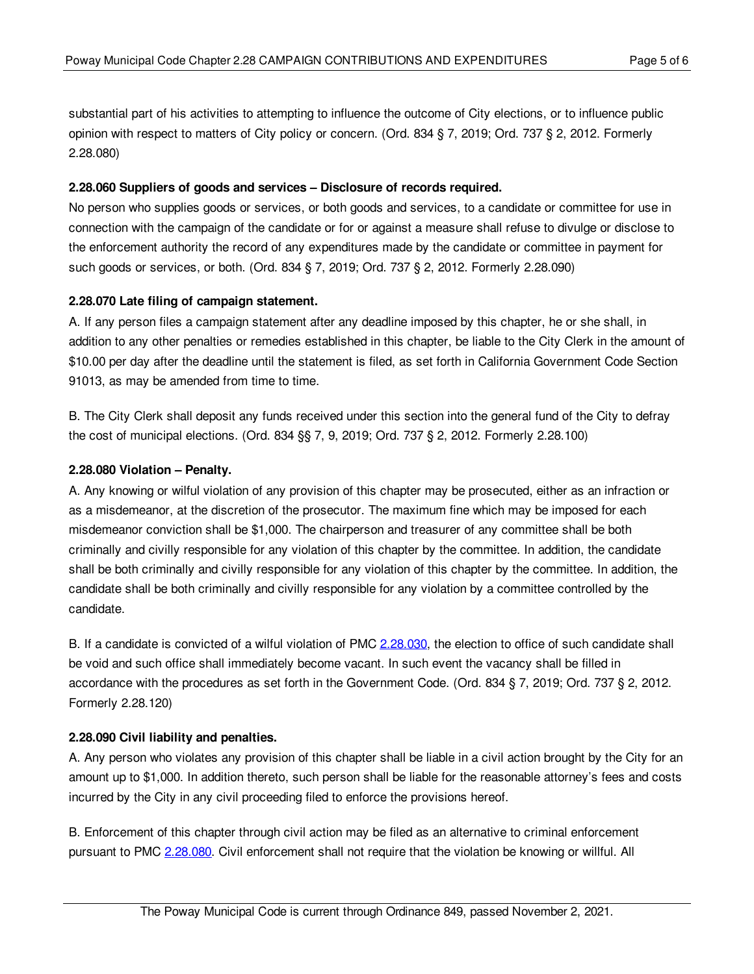substantial part of his activities to attempting to influence the outcome of City elections, or to influence public opinion with respect to matters of City policy or concern. (Ord. 834 § 7, 2019; Ord. 737 § 2, 2012. Formerly 2.28.080)

### <span id="page-4-0"></span>**2.28.060 Suppliers of goods and services – Disclosure of records required.**

No person who supplies goods or services, or both goods and services, to a candidate or committee for use in connection with the campaign of the candidate or for or against a measure shall refuse to divulge or disclose to the enforcement authority the record of any expenditures made by the candidate or committee in payment for such goods or services, or both. (Ord. 834 § 7, 2019; Ord. 737 § 2, 2012. Formerly 2.28.090)

### <span id="page-4-1"></span>**2.28.070 Late filing of campaign statement.**

A. If any person files a campaign statement after any deadline imposed by this chapter, he or she shall, in addition to any other penalties or remedies established in this chapter, be liable to the City Clerk in the amount of \$10.00 per day after the deadline until the statement is filed, as set forth in California Government Code Section 91013, as may be amended from time to time.

B. The City Clerk shall deposit any funds received under this section into the general fund of the City to defray the cost of municipal elections. (Ord. 834 §§ 7, 9, 2019; Ord. 737 § 2, 2012. Formerly 2.28.100)

### <span id="page-4-2"></span>**2.28.080 Violation – Penalty.**

A. Any knowing or wilful violation of any provision of this chapter may be prosecuted, either as an infraction or as a misdemeanor, at the discretion of the prosecutor. The maximum fine which may be imposed for each misdemeanor conviction shall be \$1,000. The chairperson and treasurer of any committee shall be both criminally and civilly responsible for any violation of this chapter by the committee. In addition, the candidate shall be both criminally and civilly responsible for any violation of this chapter by the committee. In addition, the candidate shall be both criminally and civilly responsible for any violation by a committee controlled by the candidate.

B. If a candidate is convicted of a wilful violation of PMC [2.28.030,](#page-1-1) the election to office of such candidate shall be void and such office shall immediately become vacant. In such event the vacancy shall be filled in accordance with the procedures as set forth in the Government Code. (Ord. 834 § 7, 2019; Ord. 737 § 2, 2012. Formerly 2.28.120)

# <span id="page-4-3"></span>**2.28.090 Civil liability and penalties.**

A. Any person who violates any provision of this chapter shall be liable in a civil action brought by the City for an amount up to \$1,000. In addition thereto, such person shall be liable for the reasonable attorney's fees and costs incurred by the City in any civil proceeding filed to enforce the provisions hereof.

B. Enforcement of this chapter through civil action may be filed as an alternative to criminal enforcement pursuant to PMC [2.28.080](#page-4-2). Civil enforcement shall not require that the violation be knowing or willful. All